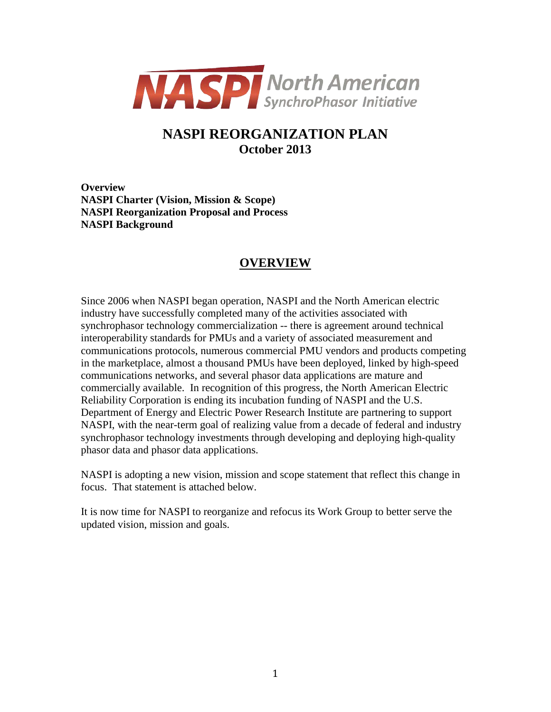

## **NASPI REORGANIZATION PLAN October 2013**

**Overview NASPI Charter (Vision, Mission & Scope) NASPI Reorganization Proposal and Process NASPI Background**

### **OVERVIEW**

Since 2006 when NASPI began operation, NASPI and the North American electric industry have successfully completed many of the activities associated with synchrophasor technology commercialization -- there is agreement around technical interoperability standards for PMUs and a variety of associated measurement and communications protocols, numerous commercial PMU vendors and products competing in the marketplace, almost a thousand PMUs have been deployed, linked by high-speed communications networks, and several phasor data applications are mature and commercially available. In recognition of this progress, the North American Electric Reliability Corporation is ending its incubation funding of NASPI and the U.S. Department of Energy and Electric Power Research Institute are partnering to support NASPI, with the near-term goal of realizing value from a decade of federal and industry synchrophasor technology investments through developing and deploying high-quality phasor data and phasor data applications.

NASPI is adopting a new vision, mission and scope statement that reflect this change in focus. That statement is attached below.

It is now time for NASPI to reorganize and refocus its Work Group to better serve the updated vision, mission and goals.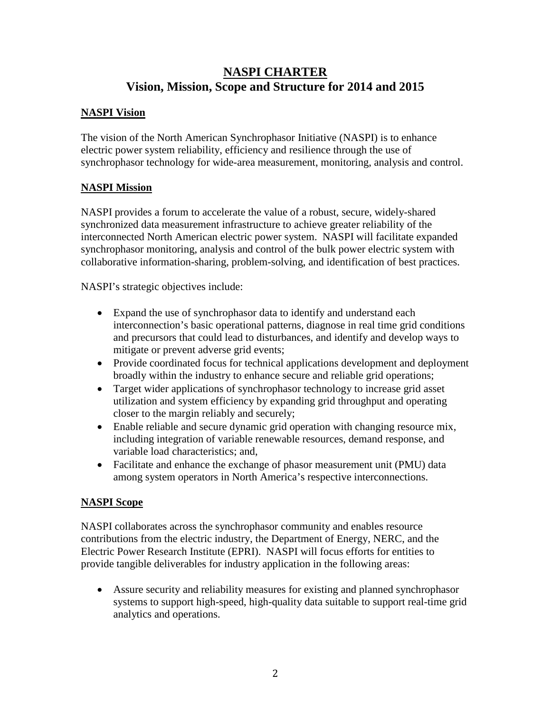## **NASPI CHARTER Vision, Mission, Scope and Structure for 2014 and 2015**

#### **NASPI Vision**

The vision of the North American Synchrophasor Initiative (NASPI) is to enhance electric power system reliability, efficiency and resilience through the use of synchrophasor technology for wide-area measurement, monitoring, analysis and control.

#### **NASPI Mission**

NASPI provides a forum to accelerate the value of a robust, secure, widely-shared synchronized data measurement infrastructure to achieve greater reliability of the interconnected North American electric power system. NASPI will facilitate expanded synchrophasor monitoring, analysis and control of the bulk power electric system with collaborative information-sharing, problem-solving, and identification of best practices.

NASPI's strategic objectives include:

- Expand the use of synchrophasor data to identify and understand each interconnection's basic operational patterns, diagnose in real time grid conditions and precursors that could lead to disturbances, and identify and develop ways to mitigate or prevent adverse grid events;
- Provide coordinated focus for technical applications development and deployment broadly within the industry to enhance secure and reliable grid operations;
- Target wider applications of synchrophasor technology to increase grid asset utilization and system efficiency by expanding grid throughput and operating closer to the margin reliably and securely;
- Enable reliable and secure dynamic grid operation with changing resource mix, including integration of variable renewable resources, demand response, and variable load characteristics; and,
- Facilitate and enhance the exchange of phasor measurement unit (PMU) data among system operators in North America's respective interconnections.

#### **NASPI Scope**

NASPI collaborates across the synchrophasor community and enables resource contributions from the electric industry, the Department of Energy, NERC, and the Electric Power Research Institute (EPRI). NASPI will focus efforts for entities to provide tangible deliverables for industry application in the following areas:

• Assure security and reliability measures for existing and planned synchrophasor systems to support high-speed, high-quality data suitable to support real-time grid analytics and operations.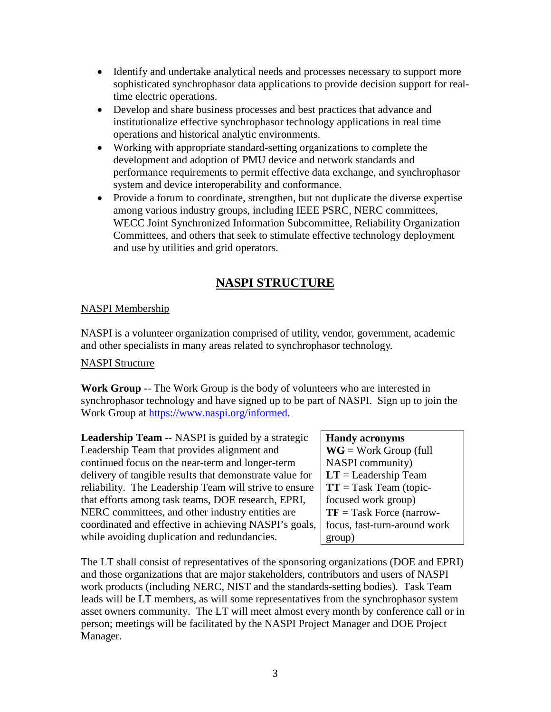- Identify and undertake analytical needs and processes necessary to support more sophisticated synchrophasor data applications to provide decision support for realtime electric operations.
- Develop and share business processes and best practices that advance and institutionalize effective synchrophasor technology applications in real time operations and historical analytic environments.
- Working with appropriate standard-setting organizations to complete the development and adoption of PMU device and network standards and performance requirements to permit effective data exchange, and synchrophasor system and device interoperability and conformance.
- Provide a forum to coordinate, strengthen, but not duplicate the diverse expertise among various industry groups, including IEEE PSRC, NERC committees, WECC Joint Synchronized Information Subcommittee, Reliability Organization Committees, and others that seek to stimulate effective technology deployment and use by utilities and grid operators.

# **NASPI STRUCTURE**

### NASPI Membership

NASPI is a volunteer organization comprised of utility, vendor, government, academic and other specialists in many areas related to synchrophasor technology.

#### NASPI Structure

**Work Group** -- The Work Group is the body of volunteers who are interested in synchrophasor technology and have signed up to be part of NASPI. Sign up to join the Work Group at [https://www.naspi.org/informed.](https://www.naspi.org/informed)

**Leadership Team** -- NASPI is guided by a strategic Leadership Team that provides alignment and continued focus on the near-term and longer-term delivery of tangible results that demonstrate value for reliability. The Leadership Team will strive to ensure that efforts among task teams, DOE research, EPRI, NERC committees, and other industry entities are coordinated and effective in achieving NASPI's goals, while avoiding duplication and redundancies.

## **Handy acronyms**

**WG** = Work Group (full NASPI community) **LT** = Leadership Team **TT** = Task Team (topicfocused work group) **TF** = Task Force (narrowfocus, fast-turn-around work group)

The LT shall consist of representatives of the sponsoring organizations (DOE and EPRI) and those organizations that are major stakeholders, contributors and users of NASPI work products (including NERC, NIST and the standards-setting bodies). Task Team leads will be LT members, as will some representatives from the synchrophasor system asset owners community. The LT will meet almost every month by conference call or in person; meetings will be facilitated by the NASPI Project Manager and DOE Project Manager.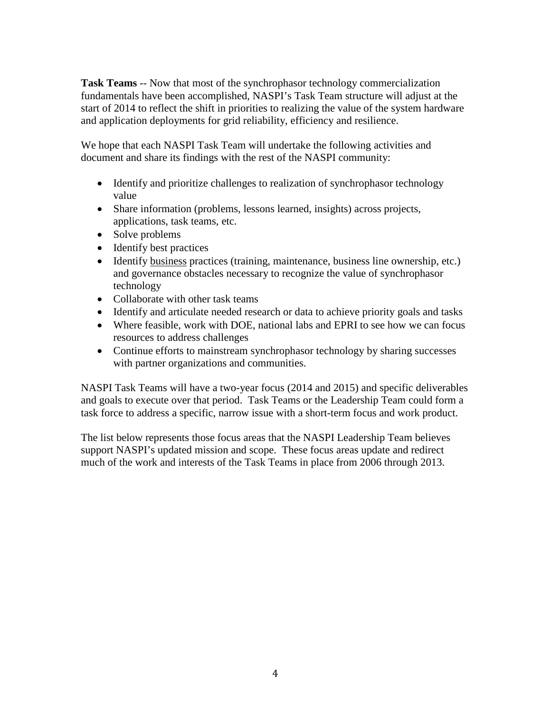**Task Teams** -- Now that most of the synchrophasor technology commercialization fundamentals have been accomplished, NASPI's Task Team structure will adjust at the start of 2014 to reflect the shift in priorities to realizing the value of the system hardware and application deployments for grid reliability, efficiency and resilience.

We hope that each NASPI Task Team will undertake the following activities and document and share its findings with the rest of the NASPI community:

- Identify and prioritize challenges to realization of synchrophasor technology value
- Share information (problems, lessons learned, insights) across projects, applications, task teams, etc.
- Solve problems
- Identify best practices
- Identify business practices (training, maintenance, business line ownership, etc.) and governance obstacles necessary to recognize the value of synchrophasor technology
- Collaborate with other task teams
- Identify and articulate needed research or data to achieve priority goals and tasks
- Where feasible, work with DOE, national labs and EPRI to see how we can focus resources to address challenges
- Continue efforts to mainstream synchrophasor technology by sharing successes with partner organizations and communities.

NASPI Task Teams will have a two-year focus (2014 and 2015) and specific deliverables and goals to execute over that period. Task Teams or the Leadership Team could form a task force to address a specific, narrow issue with a short-term focus and work product.

The list below represents those focus areas that the NASPI Leadership Team believes support NASPI's updated mission and scope. These focus areas update and redirect much of the work and interests of the Task Teams in place from 2006 through 2013.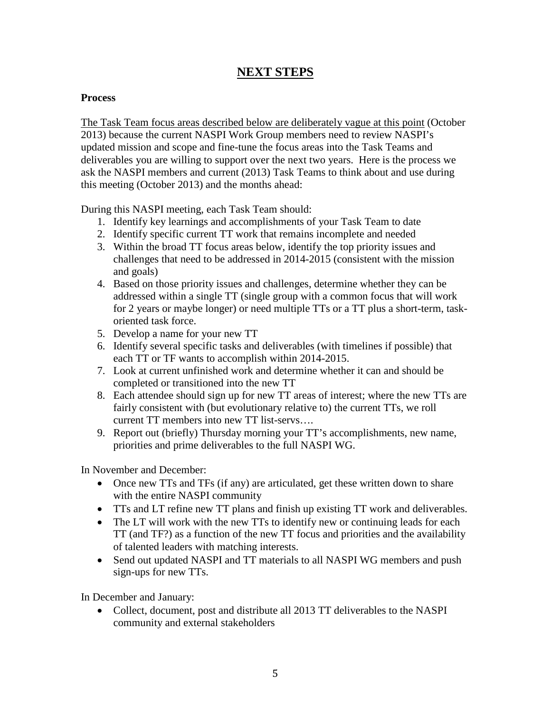### **NEXT STEPS**

#### **Process**

The Task Team focus areas described below are deliberately vague at this point (October 2013) because the current NASPI Work Group members need to review NASPI's updated mission and scope and fine-tune the focus areas into the Task Teams and deliverables you are willing to support over the next two years. Here is the process we ask the NASPI members and current (2013) Task Teams to think about and use during this meeting (October 2013) and the months ahead:

During this NASPI meeting, each Task Team should:

- 1. Identify key learnings and accomplishments of your Task Team to date
- 2. Identify specific current TT work that remains incomplete and needed
- 3. Within the broad TT focus areas below, identify the top priority issues and challenges that need to be addressed in 2014-2015 (consistent with the mission and goals)
- 4. Based on those priority issues and challenges, determine whether they can be addressed within a single TT (single group with a common focus that will work for 2 years or maybe longer) or need multiple TTs or a TT plus a short-term, taskoriented task force.
- 5. Develop a name for your new TT
- 6. Identify several specific tasks and deliverables (with timelines if possible) that each TT or TF wants to accomplish within 2014-2015.
- 7. Look at current unfinished work and determine whether it can and should be completed or transitioned into the new TT
- 8. Each attendee should sign up for new TT areas of interest; where the new TTs are fairly consistent with (but evolutionary relative to) the current TTs, we roll current TT members into new TT list-servs….
- 9. Report out (briefly) Thursday morning your TT's accomplishments, new name, priorities and prime deliverables to the full NASPI WG.

In November and December:

- Once new TTs and TFs (if any) are articulated, get these written down to share with the entire NASPI community
- TTs and LT refine new TT plans and finish up existing TT work and deliverables.
- The LT will work with the new TTs to identify new or continuing leads for each TT (and TF?) as a function of the new TT focus and priorities and the availability of talented leaders with matching interests.
- Send out updated NASPI and TT materials to all NASPI WG members and push sign-ups for new TTs.

In December and January:

• Collect, document, post and distribute all 2013 TT deliverables to the NASPI community and external stakeholders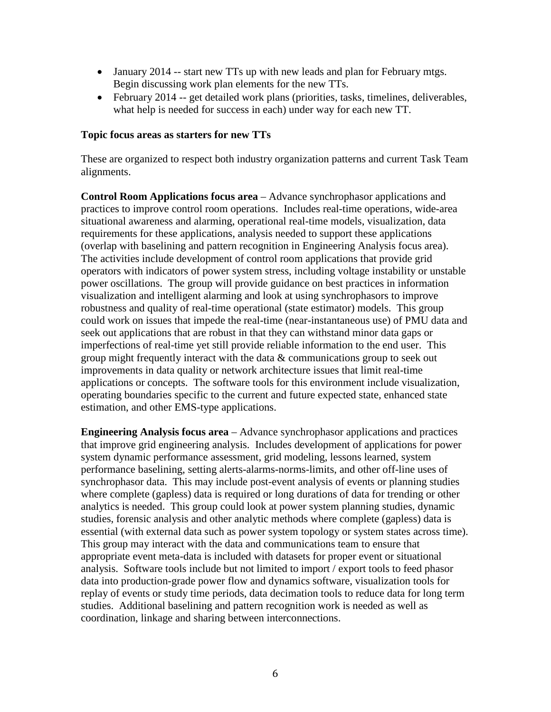- January 2014 -- start new TTs up with new leads and plan for February mtgs. Begin discussing work plan elements for the new TTs.
- February 2014 -- get detailed work plans (priorities, tasks, timelines, deliverables, what help is needed for success in each) under way for each new TT.

#### **Topic focus areas as starters for new TTs**

These are organized to respect both industry organization patterns and current Task Team alignments.

**Control Room Applications focus area** – Advance synchrophasor applications and practices to improve control room operations. Includes real-time operations, wide-area situational awareness and alarming, operational real-time models, visualization, data requirements for these applications, analysis needed to support these applications (overlap with baselining and pattern recognition in Engineering Analysis focus area). The activities include development of control room applications that provide grid operators with indicators of power system stress, including voltage instability or unstable power oscillations. The group will provide guidance on best practices in information visualization and intelligent alarming and look at using synchrophasors to improve robustness and quality of real-time operational (state estimator) models. This group could work on issues that impede the real-time (near-instantaneous use) of PMU data and seek out applications that are robust in that they can withstand minor data gaps or imperfections of real-time yet still provide reliable information to the end user. This group might frequently interact with the data & communications group to seek out improvements in data quality or network architecture issues that limit real-time applications or concepts. The software tools for this environment include visualization, operating boundaries specific to the current and future expected state, enhanced state estimation, and other EMS-type applications.

**Engineering Analysis focus area** – Advance synchrophasor applications and practices that improve grid engineering analysis. Includes development of applications for power system dynamic performance assessment, grid modeling, lessons learned, system performance baselining, setting alerts-alarms-norms-limits, and other off-line uses of synchrophasor data. This may include post-event analysis of events or planning studies where complete (gapless) data is required or long durations of data for trending or other analytics is needed. This group could look at power system planning studies, dynamic studies, forensic analysis and other analytic methods where complete (gapless) data is essential (with external data such as power system topology or system states across time). This group may interact with the data and communications team to ensure that appropriate event meta-data is included with datasets for proper event or situational analysis. Software tools include but not limited to import / export tools to feed phasor data into production-grade power flow and dynamics software, visualization tools for replay of events or study time periods, data decimation tools to reduce data for long term studies. Additional baselining and pattern recognition work is needed as well as coordination, linkage and sharing between interconnections.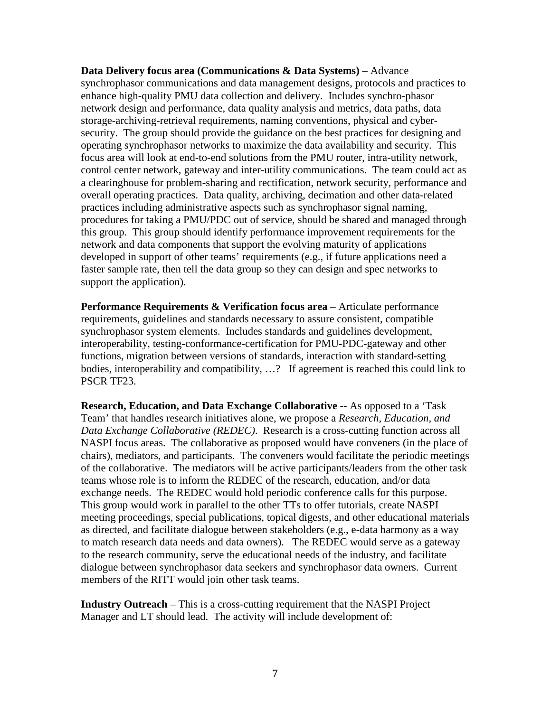**Data Delivery focus area (Communications & Data Systems)** – Advance synchrophasor communications and data management designs, protocols and practices to enhance high-quality PMU data collection and delivery. Includes synchro-phasor network design and performance, data quality analysis and metrics, data paths, data storage-archiving-retrieval requirements, naming conventions, physical and cybersecurity. The group should provide the guidance on the best practices for designing and operating synchrophasor networks to maximize the data availability and security. This focus area will look at end-to-end solutions from the PMU router, intra-utility network, control center network, gateway and inter-utility communications. The team could act as a clearinghouse for problem-sharing and rectification, network security, performance and overall operating practices. Data quality, archiving, decimation and other data-related practices including administrative aspects such as synchrophasor signal naming, procedures for taking a PMU/PDC out of service, should be shared and managed through this group. This group should identify performance improvement requirements for the network and data components that support the evolving maturity of applications developed in support of other teams' requirements (e.g., if future applications need a faster sample rate, then tell the data group so they can design and spec networks to support the application).

**Performance Requirements & Verification focus area** – Articulate performance requirements, guidelines and standards necessary to assure consistent, compatible synchrophasor system elements. Includes standards and guidelines development, interoperability, testing-conformance-certification for PMU-PDC-gateway and other functions, migration between versions of standards, interaction with standard-setting bodies, interoperability and compatibility, ...? If agreement is reached this could link to PSCR TF23.

**Research, Education, and Data Exchange Collaborative** -- As opposed to a 'Task Team' that handles research initiatives alone, we propose a *Research, Education, and Data Exchange Collaborative (REDEC)*. Research is a cross-cutting function across all NASPI focus areas. The collaborative as proposed would have conveners (in the place of chairs), mediators, and participants. The conveners would facilitate the periodic meetings of the collaborative. The mediators will be active participants/leaders from the other task teams whose role is to inform the REDEC of the research, education, and/or data exchange needs. The REDEC would hold periodic conference calls for this purpose. This group would work in parallel to the other TTs to offer tutorials, create NASPI meeting proceedings, special publications, topical digests, and other educational materials as directed, and facilitate dialogue between stakeholders (e.g., e-data harmony as a way to match research data needs and data owners). The REDEC would serve as a gateway to the research community, serve the educational needs of the industry, and facilitate dialogue between synchrophasor data seekers and synchrophasor data owners. Current members of the RITT would join other task teams.

**Industry Outreach** – This is a cross-cutting requirement that the NASPI Project Manager and LT should lead. The activity will include development of: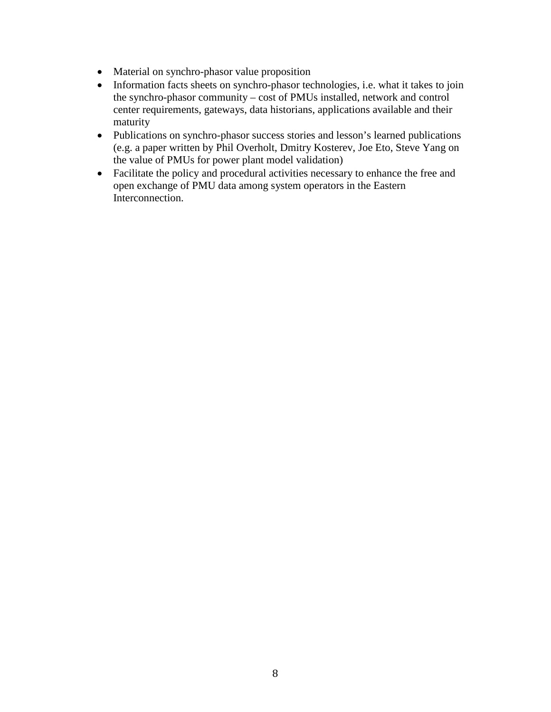- Material on synchro-phasor value proposition
- Information facts sheets on synchro-phasor technologies, i.e. what it takes to join the synchro-phasor community – cost of PMUs installed, network and control center requirements, gateways, data historians, applications available and their maturity
- Publications on synchro-phasor success stories and lesson's learned publications (e.g. a paper written by Phil Overholt, Dmitry Kosterev, Joe Eto, Steve Yang on the value of PMUs for power plant model validation)
- Facilitate the policy and procedural activities necessary to enhance the free and open exchange of PMU data among system operators in the Eastern Interconnection.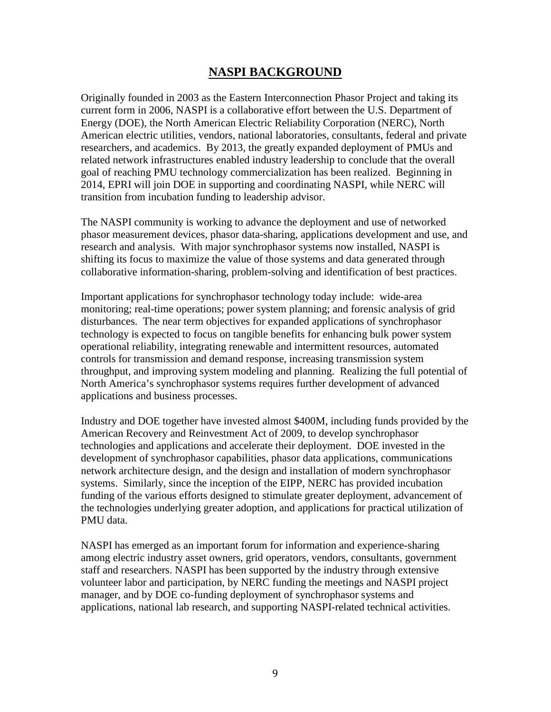### **NASPI BACKGROUND**

Originally founded in 2003 as the Eastern Interconnection Phasor Project and taking its current form in 2006, NASPI is a collaborative effort between the U.S. Department of Energy (DOE), the North American Electric Reliability Corporation (NERC), North American electric utilities, vendors, national laboratories, consultants, federal and private researchers, and academics. By 2013, the greatly expanded deployment of PMUs and related network infrastructures enabled industry leadership to conclude that the overall goal of reaching PMU technology commercialization has been realized. Beginning in 2014, EPRI will join DOE in supporting and coordinating NASPI, while NERC will transition from incubation funding to leadership advisor.

The NASPI community is working to advance the deployment and use of networked phasor measurement devices, phasor data-sharing, applications development and use, and research and analysis. With major synchrophasor systems now installed, NASPI is shifting its focus to maximize the value of those systems and data generated through collaborative information-sharing, problem-solving and identification of best practices.

Important applications for synchrophasor technology today include: wide-area monitoring; real-time operations; power system planning; and forensic analysis of grid disturbances. The near term objectives for expanded applications of synchrophasor technology is expected to focus on tangible benefits for enhancing bulk power system operational reliability, integrating renewable and intermittent resources, automated controls for transmission and demand response, increasing transmission system throughput, and improving system modeling and planning. Realizing the full potential of North America's synchrophasor systems requires further development of advanced applications and business processes.

Industry and DOE together have invested almost \$400M, including funds provided by the American Recovery and Reinvestment Act of 2009, to develop synchrophasor technologies and applications and accelerate their deployment. DOE invested in the development of synchrophasor capabilities, phasor data applications, communications network architecture design, and the design and installation of modern synchrophasor systems. Similarly, since the inception of the EIPP, NERC has provided incubation funding of the various efforts designed to stimulate greater deployment, advancement of the technologies underlying greater adoption, and applications for practical utilization of PMU data.

NASPI has emerged as an important forum for information and experience-sharing among electric industry asset owners, grid operators, vendors, consultants, government staff and researchers. NASPI has been supported by the industry through extensive volunteer labor and participation, by NERC funding the meetings and NASPI project manager, and by DOE co-funding deployment of synchrophasor systems and applications, national lab research, and supporting NASPI-related technical activities.